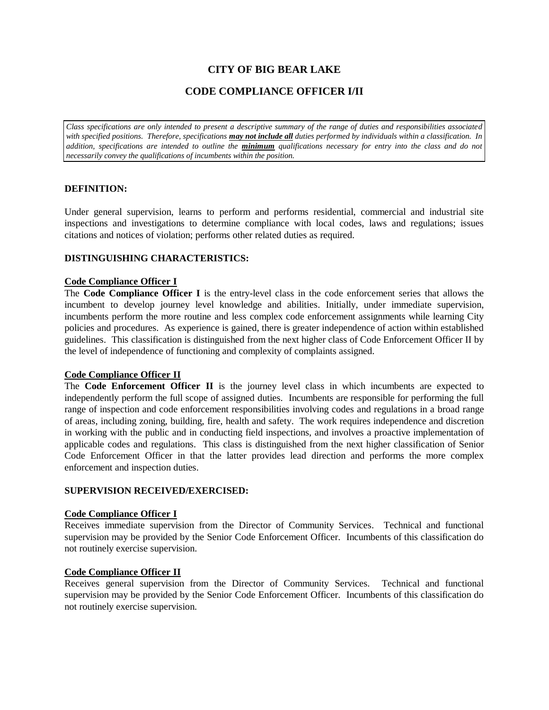# **CITY OF BIG BEAR LAKE**

## **CODE COMPLIANCE OFFICER I/II**

*Class specifications are only intended to present a descriptive summary of the range of duties and responsibilities associated with specified positions. Therefore, specifications may not include all duties performed by individuals within a classification. In addition, specifications are intended to outline the minimum qualifications necessary for entry into the class and do not necessarily convey the qualifications of incumbents within the position.*

#### **DEFINITION:**

Under general supervision, learns to perform and performs residential, commercial and industrial site inspections and investigations to determine compliance with local codes, laws and regulations; issues citations and notices of violation; performs other related duties as required.

#### **DISTINGUISHING CHARACTERISTICS:**

#### **Code Compliance Officer I**

The **Code Compliance Officer I** is the entry-level class in the code enforcement series that allows the incumbent to develop journey level knowledge and abilities. Initially, under immediate supervision, incumbents perform the more routine and less complex code enforcement assignments while learning City policies and procedures. As experience is gained, there is greater independence of action within established guidelines. This classification is distinguished from the next higher class of Code Enforcement Officer II by the level of independence of functioning and complexity of complaints assigned.

#### **Code Compliance Officer II**

The **Code Enforcement Officer II** is the journey level class in which incumbents are expected to independently perform the full scope of assigned duties. Incumbents are responsible for performing the full range of inspection and code enforcement responsibilities involving codes and regulations in a broad range of areas, including zoning, building, fire, health and safety. The work requires independence and discretion in working with the public and in conducting field inspections, and involves a proactive implementation of applicable codes and regulations. This class is distinguished from the next higher classification of Senior Code Enforcement Officer in that the latter provides lead direction and performs the more complex enforcement and inspection duties.

## **SUPERVISION RECEIVED/EXERCISED:**

#### **Code Compliance Officer I**

Receives immediate supervision from the Director of Community Services. Technical and functional supervision may be provided by the Senior Code Enforcement Officer. Incumbents of this classification do not routinely exercise supervision.

#### **Code Compliance Officer II**

Receives general supervision from the Director of Community Services. Technical and functional supervision may be provided by the Senior Code Enforcement Officer. Incumbents of this classification do not routinely exercise supervision.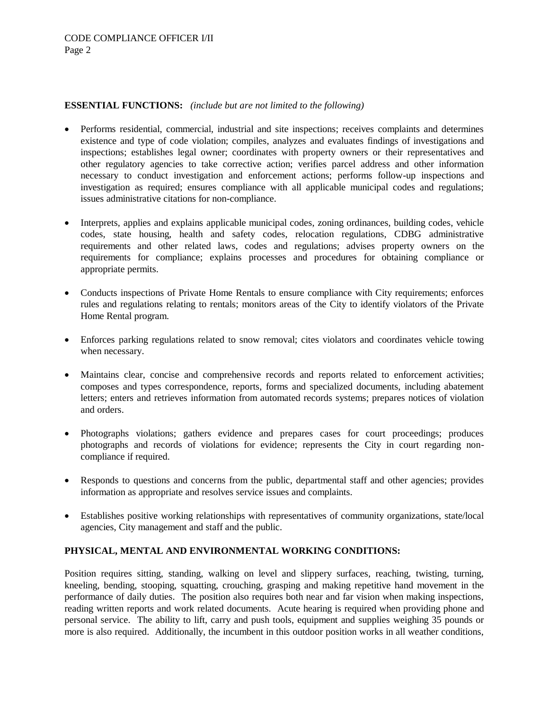## **ESSENTIAL FUNCTIONS:** *(include but are not limited to the following)*

- Performs residential, commercial, industrial and site inspections; receives complaints and determines existence and type of code violation; compiles, analyzes and evaluates findings of investigations and inspections; establishes legal owner; coordinates with property owners or their representatives and other regulatory agencies to take corrective action; verifies parcel address and other information necessary to conduct investigation and enforcement actions; performs follow-up inspections and investigation as required; ensures compliance with all applicable municipal codes and regulations; issues administrative citations for non-compliance.
- Interprets, applies and explains applicable municipal codes, zoning ordinances, building codes, vehicle codes, state housing, health and safety codes, relocation regulations, CDBG administrative requirements and other related laws, codes and regulations; advises property owners on the requirements for compliance; explains processes and procedures for obtaining compliance or appropriate permits.
- Conducts inspections of Private Home Rentals to ensure compliance with City requirements; enforces rules and regulations relating to rentals; monitors areas of the City to identify violators of the Private Home Rental program.
- Enforces parking regulations related to snow removal; cites violators and coordinates vehicle towing when necessary.
- Maintains clear, concise and comprehensive records and reports related to enforcement activities; composes and types correspondence, reports, forms and specialized documents, including abatement letters; enters and retrieves information from automated records systems; prepares notices of violation and orders.
- Photographs violations; gathers evidence and prepares cases for court proceedings; produces photographs and records of violations for evidence; represents the City in court regarding noncompliance if required.
- Responds to questions and concerns from the public, departmental staff and other agencies; provides information as appropriate and resolves service issues and complaints.
- Establishes positive working relationships with representatives of community organizations, state/local agencies, City management and staff and the public.

## **PHYSICAL, MENTAL AND ENVIRONMENTAL WORKING CONDITIONS:**

Position requires sitting, standing, walking on level and slippery surfaces, reaching, twisting, turning, kneeling, bending, stooping, squatting, crouching, grasping and making repetitive hand movement in the performance of daily duties. The position also requires both near and far vision when making inspections, reading written reports and work related documents. Acute hearing is required when providing phone and personal service. The ability to lift, carry and push tools, equipment and supplies weighing 35 pounds or more is also required. Additionally, the incumbent in this outdoor position works in all weather conditions,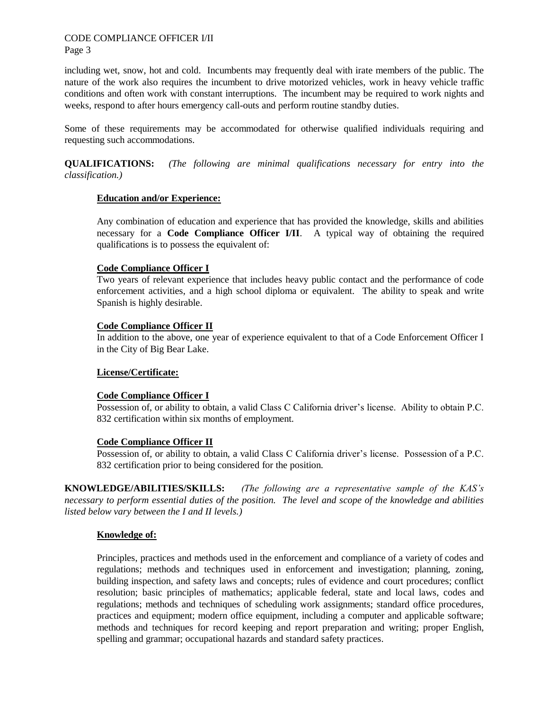#### CODE COMPLIANCE OFFICER I/II Page 3

including wet, snow, hot and cold. Incumbents may frequently deal with irate members of the public. The nature of the work also requires the incumbent to drive motorized vehicles, work in heavy vehicle traffic conditions and often work with constant interruptions. The incumbent may be required to work nights and weeks, respond to after hours emergency call-outs and perform routine standby duties.

Some of these requirements may be accommodated for otherwise qualified individuals requiring and requesting such accommodations.

**QUALIFICATIONS:** *(The following are minimal qualifications necessary for entry into the classification.)*

## **Education and/or Experience:**

Any combination of education and experience that has provided the knowledge, skills and abilities necessary for a **Code Compliance Officer I/II**. A typical way of obtaining the required qualifications is to possess the equivalent of:

## **Code Compliance Officer I**

Two years of relevant experience that includes heavy public contact and the performance of code enforcement activities, and a high school diploma or equivalent. The ability to speak and write Spanish is highly desirable.

## **Code Compliance Officer II**

In addition to the above, one year of experience equivalent to that of a Code Enforcement Officer I in the City of Big Bear Lake.

## **License/Certificate:**

## **Code Compliance Officer I**

Possession of, or ability to obtain, a valid Class C California driver's license. Ability to obtain P.C. 832 certification within six months of employment.

## **Code Compliance Officer II**

Possession of, or ability to obtain, a valid Class C California driver's license. Possession of a P.C. 832 certification prior to being considered for the position.

**KNOWLEDGE/ABILITIES/SKILLS:** *(The following are a representative sample of the KAS's necessary to perform essential duties of the position. The level and scope of the knowledge and abilities listed below vary between the I and II levels.)*

## **Knowledge of:**

Principles, practices and methods used in the enforcement and compliance of a variety of codes and regulations; methods and techniques used in enforcement and investigation; planning, zoning, building inspection, and safety laws and concepts; rules of evidence and court procedures; conflict resolution; basic principles of mathematics; applicable federal, state and local laws, codes and regulations; methods and techniques of scheduling work assignments; standard office procedures, practices and equipment; modern office equipment, including a computer and applicable software; methods and techniques for record keeping and report preparation and writing; proper English, spelling and grammar; occupational hazards and standard safety practices.